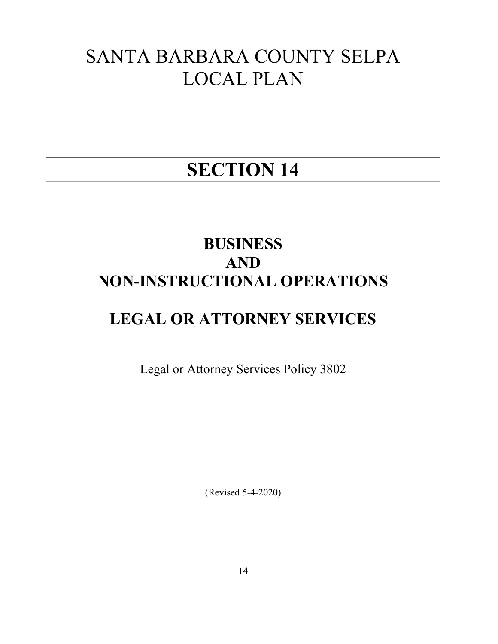# SANTA BARBARA COUNTY SELPA LOCAL PLAN

# SECTION 14

# BUSINESS AND NON-INSTRUCTIONAL OPERATIONS

# LEGAL OR ATTORNEY SERVICES

Legal or Attorney Services Policy 3802

(Revised 5-4-2020)